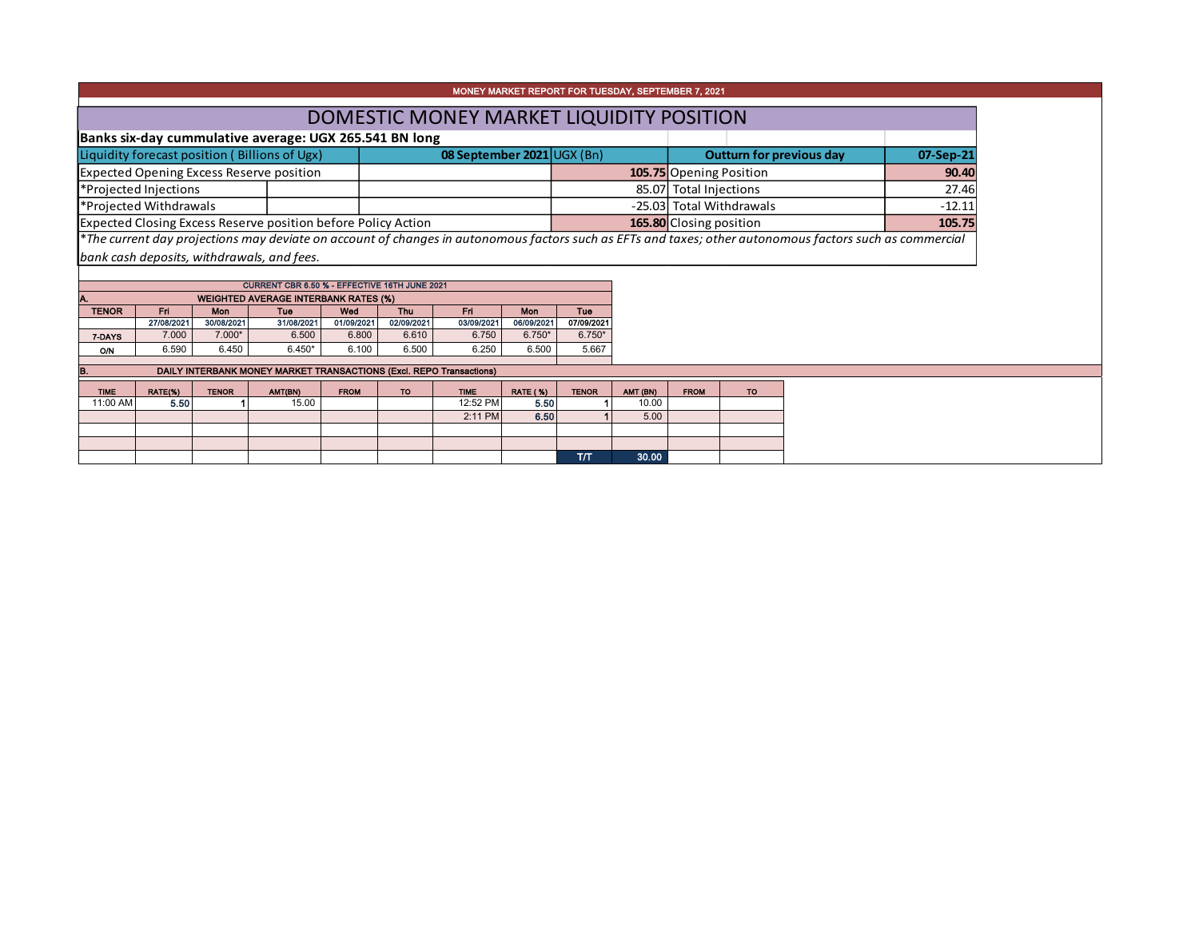| MONEY MARKET REPORT FOR TUESDAY, SEPTEMBER 7, 2021            |  |                            |  |                                                                                                                                                          |           |  |  |  |  |  |  |
|---------------------------------------------------------------|--|----------------------------|--|----------------------------------------------------------------------------------------------------------------------------------------------------------|-----------|--|--|--|--|--|--|
| DOMESTIC MONEY MARKET LIQUIDITY POSITION                      |  |                            |  |                                                                                                                                                          |           |  |  |  |  |  |  |
| Banks six-day cummulative average: UGX 265.541 BN long        |  |                            |  |                                                                                                                                                          |           |  |  |  |  |  |  |
| Liquidity forecast position (Billions of Ugx)                 |  | 08 September 2021 UGX (Bn) |  | Outturn for previous day                                                                                                                                 | 07-Sep-21 |  |  |  |  |  |  |
| Expected Opening Excess Reserve position                      |  |                            |  | 105.75 Opening Position                                                                                                                                  | 90.40     |  |  |  |  |  |  |
| *Projected Injections                                         |  |                            |  | 85.07 Total Injections                                                                                                                                   | 27.46     |  |  |  |  |  |  |
| *Projected Withdrawals                                        |  |                            |  | -25.03 Total Withdrawals                                                                                                                                 | $-12.11$  |  |  |  |  |  |  |
| Expected Closing Excess Reserve position before Policy Action |  |                            |  | 165.80 Closing position                                                                                                                                  | 105.75    |  |  |  |  |  |  |
|                                                               |  |                            |  | *The current day projections may deviate on account of changes in autonomous factors such as EFTs and taxes; other autonomous factors such as commercial |           |  |  |  |  |  |  |
| bank cash deposits, withdrawals, and fees.                    |  |                            |  |                                                                                                                                                          |           |  |  |  |  |  |  |

| CURRENT CBR 6.50 % - EFFECTIVE 16TH JUNE 2021      |                                                             |            |            |            |            |            |            |            |  |  |  |  |  |  |
|----------------------------------------------------|-------------------------------------------------------------|------------|------------|------------|------------|------------|------------|------------|--|--|--|--|--|--|
| IA.<br><b>WEIGHTED AVERAGE INTERBANK RATES (%)</b> |                                                             |            |            |            |            |            |            |            |  |  |  |  |  |  |
| <b>TENOR</b>                                       | <b>Fri</b><br>Wed<br>Fri<br>Mon<br>Tue<br><b>Thu</b><br>Mon |            |            |            |            |            |            |            |  |  |  |  |  |  |
|                                                    | 27/08/2021                                                  | 30/08/2021 | 31/08/2021 | 01/09/2021 | 02/09/2021 | 03/09/2021 | 06/09/2021 | 07/09/2021 |  |  |  |  |  |  |
| 7-DAYS                                             | 7.000                                                       | $7.000*$   | 6.500      | 6.800      | 6.610      | 6.750      | $6.750*$   | $6.750*$   |  |  |  |  |  |  |
| <b>O/N</b>                                         | 6.590                                                       | 6.450      | $6.450*$   | 6.100      | 6.500      | 6.250      | 6.500      | 5.667      |  |  |  |  |  |  |
|                                                    |                                                             |            |            |            |            |            |            |            |  |  |  |  |  |  |

| В.          | DAILY INTERBANK MONEY MARKET TRANSACTIONS (Excl. REPO Transactions) |              |         |             |           |             |                 |              |          |             |    |  |  |  |  |
|-------------|---------------------------------------------------------------------|--------------|---------|-------------|-----------|-------------|-----------------|--------------|----------|-------------|----|--|--|--|--|
| <b>TIME</b> | RATE(%)                                                             | <b>TENOR</b> | AMT(BN) | <b>FROM</b> | <b>TO</b> | <b>TIME</b> | <b>RATE (%)</b> | <b>TENOR</b> | AMT (BN) | <b>FROM</b> | TO |  |  |  |  |
| 11:00 AM    | 5.50                                                                |              | 15.00   |             |           | 12:52 PM    | 5.50            |              | 10.00    |             |    |  |  |  |  |
|             |                                                                     |              |         |             |           | 2:11 PM     | 6.50            |              | 5.00     |             |    |  |  |  |  |
|             |                                                                     |              |         |             |           |             |                 |              |          |             |    |  |  |  |  |
|             |                                                                     |              |         |             |           |             |                 |              |          |             |    |  |  |  |  |
|             |                                                                     |              |         |             |           |             |                 | T/T          | 30.00    |             |    |  |  |  |  |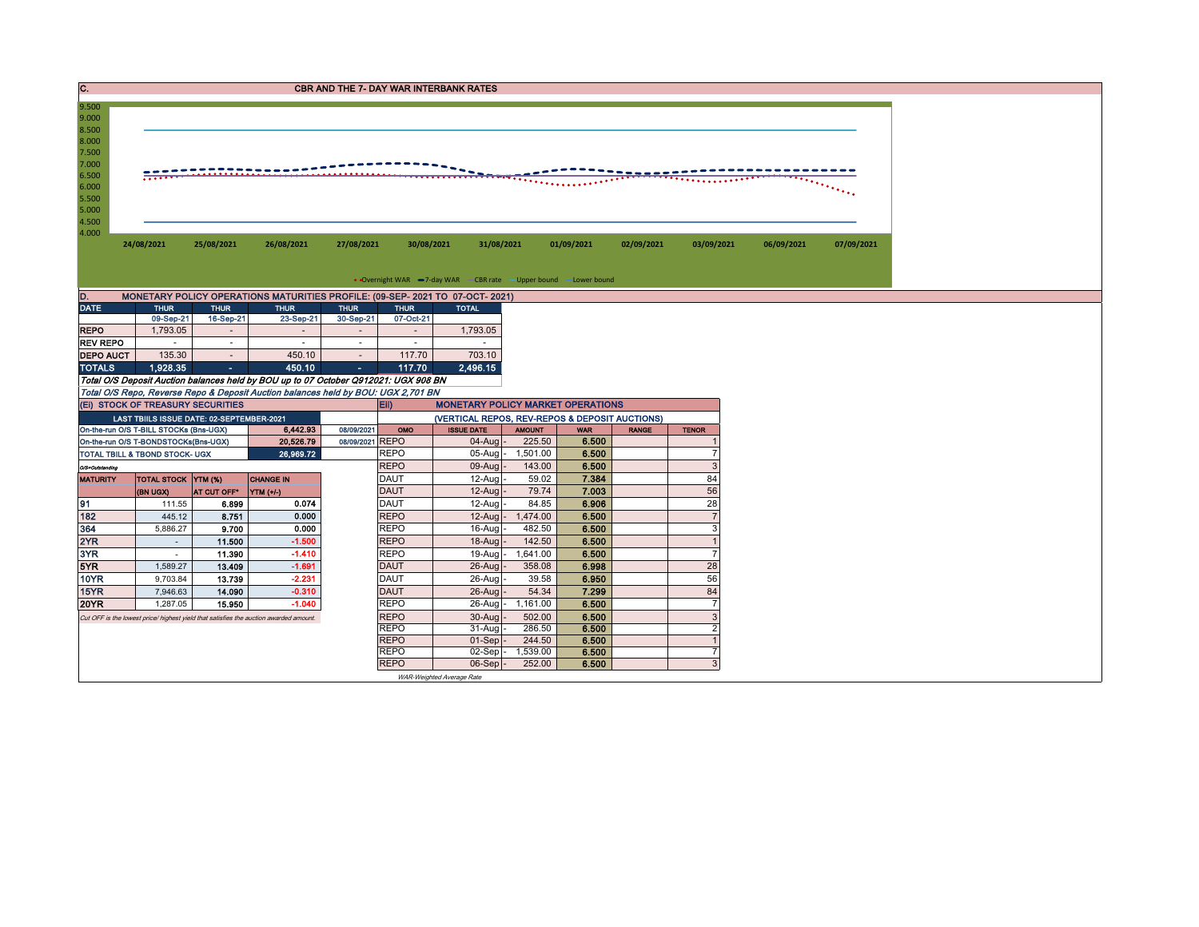| IC.                                                                                             |                                                                                       |                          |                                                                                                                                                                          |                          |                            | <b>CBR AND THE 7- DAY WAR INTERBANK RATES</b>                       |                   |                |              |                |            |            |
|-------------------------------------------------------------------------------------------------|---------------------------------------------------------------------------------------|--------------------------|--------------------------------------------------------------------------------------------------------------------------------------------------------------------------|--------------------------|----------------------------|---------------------------------------------------------------------|-------------------|----------------|--------------|----------------|------------|------------|
| 9.500<br>9.000<br>8.500<br>8.000<br>7.500<br>7.000<br>6.500<br>6.000<br>5.500<br>5.000<br>4.500 |                                                                                       |                          |                                                                                                                                                                          |                          |                            |                                                                     |                   |                |              |                |            |            |
| 4.000                                                                                           | 24/08/2021                                                                            | 25/08/2021               | 26/08/2021                                                                                                                                                               | 27/08/2021               | 30/08/2021                 | 31/08/2021                                                          |                   | 01/09/2021     | 02/09/2021   | 03/09/2021     | 06/09/2021 | 07/09/2021 |
|                                                                                                 |                                                                                       |                          |                                                                                                                                                                          |                          |                            | • Overnight WAR -7-day WAR - CBR rate - Upper bound - Lower bound   |                   |                |              |                |            |            |
| D.                                                                                              |                                                                                       |                          | MONETARY POLICY OPERATIONS MATURITIES PROFILE: (09-SEP-2021 TO 07-OCT-2021)                                                                                              |                          |                            |                                                                     |                   |                |              |                |            |            |
| DATE                                                                                            | <b>THUR</b><br>09-Sep-21                                                              | <b>THUR</b><br>16-Sep-21 | <b>THUR</b><br>23-Sep-21                                                                                                                                                 | <b>THUR</b><br>30-Sep-21 | <b>THUR</b><br>07-Oct-21   | <b>TOTAL</b>                                                        |                   |                |              |                |            |            |
| <b>REPO</b>                                                                                     | 1,793.05                                                                              | $\sim$                   | $\sim$                                                                                                                                                                   | $\sim$                   | $\sim$                     | 1,793.05                                                            |                   |                |              |                |            |            |
| <b>REV REPO</b>                                                                                 | $\sim$                                                                                | $\sim$                   | $\sim$                                                                                                                                                                   | $\sim$                   | $\sim$                     | $\sim$                                                              |                   |                |              |                |            |            |
| <b>DEPO AUCT</b>                                                                                | 135.30                                                                                | $\sim$                   | 450.10                                                                                                                                                                   | $\sim$                   | 117.70                     | 703.10                                                              |                   |                |              |                |            |            |
| <b>TOTALS</b>                                                                                   | 1.928.35                                                                              | ж.                       | 450.10                                                                                                                                                                   | $\sim$                   | 117.70                     | 2,496.15                                                            |                   |                |              |                |            |            |
|                                                                                                 | (EI) STOCK OF TREASURY SECURITIES                                                     |                          | Total O/S Deposit Auction balances held by BOU up to 07 October Q912021: UGX 908 BN<br>Total O/S Repo, Reverse Repo & Deposit Auction balances held by BOU: UGX 2,701 BN |                          | Eii)                       | <b>MONETARY POLICY MARKET OPERATIONS</b>                            |                   |                |              |                |            |            |
|                                                                                                 | LAST TBIILS ISSUE DATE: 02-SEPTEMBER-2021<br>On-the-run O/S T-BILL STOCKs (Bns-UGX)   |                          | 6,442.93                                                                                                                                                                 | 08/09/2021               | OMO                        | (VERTICAL REPOS, REV-REPOS & DEPOSIT AUCTIONS)<br><b>ISSUE DATE</b> | <b>AMOUNT</b>     | <b>WAR</b>     | <b>RANGE</b> | <b>TENOR</b>   |            |            |
|                                                                                                 | On-the-run O/S T-BONDSTOCKs(Bns-UGX)                                                  |                          | 20,526.79                                                                                                                                                                | 08/09/2021 REPO          |                            | $04$ -Aug -                                                         | 225.50            | 6.500          |              |                |            |            |
|                                                                                                 | TOTAL TBILL & TBOND STOCK- UGX                                                        |                          | 26,969.72                                                                                                                                                                |                          | <b>REPO</b>                | $05$ -Aug -                                                         | 1,501.00          | 6.500          |              | $\overline{7}$ |            |            |
| O/S=Outstanding                                                                                 |                                                                                       |                          |                                                                                                                                                                          |                          | <b>REPO</b>                | 09-Aug                                                              | 143.00            | 6.500          |              | 3              |            |            |
| <b>MATURITY</b>                                                                                 | <b>TOTAL STOCK YTM (%)</b>                                                            |                          | <b>CHANGE IN</b>                                                                                                                                                         |                          | <b>DAUT</b>                | 12-Aug                                                              | 59.02             | 7.384          |              | 84             |            |            |
|                                                                                                 | (BN UGX)                                                                              | AT CUT OFF*              | <b>YTM</b> (+/-)                                                                                                                                                         |                          | <b>DAUT</b>                | $12-Auq$                                                            | 79.74             | 7.003          |              | 56             |            |            |
| 91                                                                                              | 111.55                                                                                | 6.899                    | 0.074                                                                                                                                                                    |                          | <b>DAUT</b>                | 12-Aug                                                              | 84.85             | 6.906          |              | 28             |            |            |
| 182                                                                                             | 445.12                                                                                | 8.751                    | 0.000                                                                                                                                                                    |                          | <b>REPO</b>                | 12-Aug                                                              | 1,474.00          | 6.500          |              | $\overline{7}$ |            |            |
| 364                                                                                             | 5,886.27                                                                              | 9.700                    | 0.000                                                                                                                                                                    |                          | <b>REPO</b>                | $16$ -Aug                                                           | 482.50            | 6.500          |              | 3              |            |            |
| 2YR                                                                                             | $\sim$                                                                                | 11.500                   | $-1.500$                                                                                                                                                                 |                          | <b>REPO</b>                | 18-Aug                                                              | 142.50            | 6.500          |              | $\overline{1}$ |            |            |
| 3YR                                                                                             | $\sim$                                                                                | 11.390                   | $-1.410$                                                                                                                                                                 |                          | <b>REPO</b>                | $19$ -Aug -                                                         | 1,641.00          | 6.500          |              | $\overline{7}$ |            |            |
| 5YR                                                                                             | 1,589.27                                                                              | 13.409                   | $-1.691$                                                                                                                                                                 |                          | <b>DAUT</b>                | 26-Aug                                                              | 358.08            | 6.998          |              | 28             |            |            |
| <b>10YR</b><br>15YR                                                                             | 9,703.84                                                                              | 13.739                   | $-2.231$<br>$-0.310$                                                                                                                                                     |                          | <b>DAUT</b>                | 26-Aug                                                              | 39.58             | 6.950          |              | 56<br>84       |            |            |
| <b>20YR</b>                                                                                     | 7,946.63<br>1,287.05                                                                  | 14.090<br>15.950         | $-1.040$                                                                                                                                                                 |                          | <b>DAUT</b><br><b>REPO</b> | 26-Aug<br>$26$ -Aug-                                                | 54.34<br>1,161.00 | 7.299<br>6.500 |              | $\overline{7}$ |            |            |
|                                                                                                 |                                                                                       |                          |                                                                                                                                                                          |                          | <b>REPO</b>                | 30-Aug                                                              | 502.00            | 6.500          |              | 3              |            |            |
|                                                                                                 | Cut OFF is the lowest price/ highest yield that satisfies the auction awarded amount. |                          |                                                                                                                                                                          |                          | <b>REPO</b>                | $31-Auq$                                                            | 286.50            | 6.500          |              | $\overline{2}$ |            |            |
|                                                                                                 |                                                                                       |                          |                                                                                                                                                                          |                          | <b>REPO</b>                | $01-Sep$                                                            | 244.50            | 6.500          |              | $\overline{1}$ |            |            |
|                                                                                                 |                                                                                       |                          |                                                                                                                                                                          |                          | <b>REPO</b>                | $02-Sep$ -                                                          | 1,539.00          | 6.500          |              | $\overline{7}$ |            |            |
|                                                                                                 |                                                                                       |                          |                                                                                                                                                                          |                          | <b>REPO</b>                | $06-Sep$ -                                                          | 252.00            | 6.500          |              | 3              |            |            |
|                                                                                                 |                                                                                       |                          |                                                                                                                                                                          |                          |                            | WAR-Weighted Average Rate                                           |                   |                |              |                |            |            |